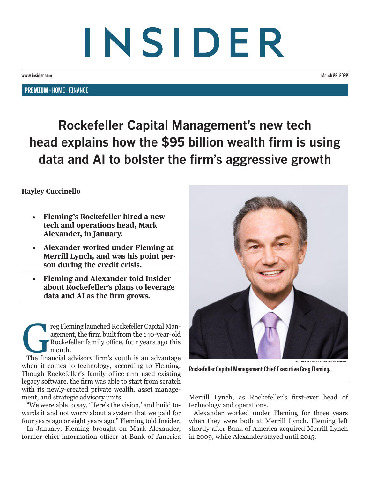## INSIDER

**www.insider.com March 29, 2022**

PREMIUM - **HOME - FINANCE**

**Rockefeller Capital Management's new tech head explains how the \$95 billion wealth firm is using data and AI to bolster the firm's aggressive growth**

## **Hayley Cuccinello**

- **Fleming's Rockefeller hired a new tech and operations head, Mark Alexander, in January.**
- **Alexander worked under Fleming at Merrill Lynch, and was his point person during the credit crisis.**
- **Fleming and Alexander told Insider about Rockefeller's plans to leverage data and AI as the firm grows.**

reg Fleming launched Rockefeller Capital Man-<br>agement, the firm built from the 140-year-old<br>Rockefeller family office, four years ago this<br>month.<br>The financial advisory firm's youth is an advantage agement, the firm built from the 140-year-old Rockefeller family office, four years ago this month.

when it comes to technology, according to Fleming. Though Rockefeller's family office arm used existing legacy software, the firm was able to start from scratch with its newly-created private wealth, asset management, and strategic advisory units.

"We were able to say, 'Here's the vision,' and build towards it and not worry about a system that we paid for four years ago or eight years ago," Fleming told Insider.

In January, [Fleming brought on Mark Alexander,](https://www.businessinsider.com/rockefeller-capital-management-greg-fleming-hires-exits-2021-11) former chief information officer at Bank of America



**Rockefeller Capital Management Chief Executive Greg Fleming.**

Merrill Lynch, as Rockefeller's first-ever head of technology and operations.

Alexander worked under Fleming for three years when they were both at Merrill Lynch. Fleming left shortly after Bank of America acquired Merrill Lynch in 2009, while Alexander stayed until 2015.